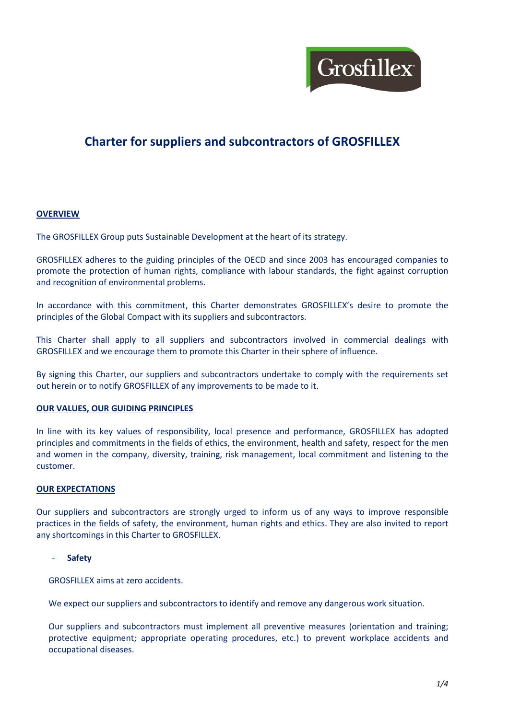

# **Charter for suppliers and subcontractors of GROSFILLEX**

## **OVERVIEW**

The GROSFILLEX Group puts Sustainable Development at the heart of its strategy.

GROSFILLEX adheres to the guiding principles of the OECD and since 2003 has encouraged companies to promote the protection of human rights, compliance with labour standards, the fight against corruption and recognition of environmental problems.

In accordance with this commitment, this Charter demonstrates GROSFILLEX's desire to promote the principles of the Global Compact with its suppliers and subcontractors.

This Charter shall apply to all suppliers and subcontractors involved in commercial dealings with GROSFILLEX and we encourage them to promote this Charter in their sphere of influence.

By signing this Charter, our suppliers and subcontractors undertake to comply with the requirements set out herein or to notify GROSFILLEX of any improvements to be made to it.

#### **OUR VALUES, OUR GUIDING PRINCIPLES**

In line with its key values of responsibility, local presence and performance, GROSFILLEX has adopted principles and commitments in the fields of ethics, the environment, health and safety, respect for the men and women in the company, diversity, training, risk management, local commitment and listening to the customer.

#### **OUR EXPECTATIONS**

Our suppliers and subcontractors are strongly urged to inform us of any ways to improve responsible practices in the fields of safety, the environment, human rights and ethics. They are also invited to report any shortcomings in this Charter to GROSFILLEX.

#### - **Safety**

GROSFILLEX aims at zero accidents.

We expect our suppliers and subcontractors to identify and remove any dangerous work situation.

Our suppliers and subcontractors must implement all preventive measures (orientation and training; protective equipment; appropriate operating procedures, etc.) to prevent workplace accidents and occupational diseases.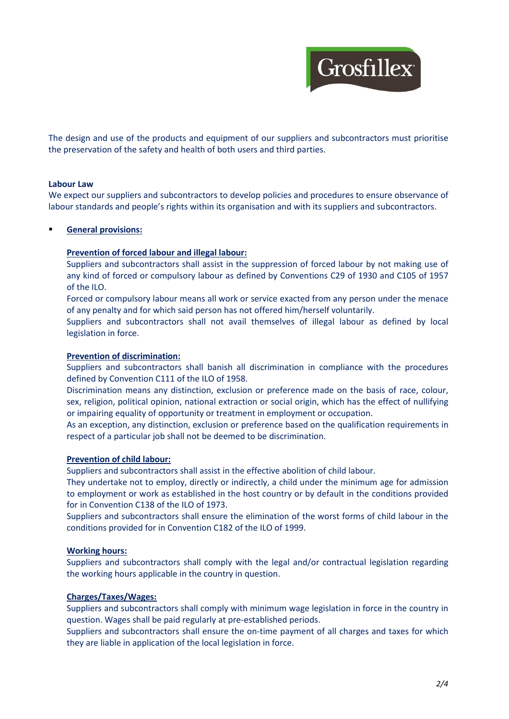

The design and use of the products and equipment of our suppliers and subcontractors must prioritise the preservation of the safety and health of both users and third parties.

#### **Labour Law**

We expect our suppliers and subcontractors to develop policies and procedures to ensure observance of labour standards and people's rights within its organisation and with its suppliers and subcontractors.

## **General provisions:**

#### **Prevention of forced labour and illegal labour:**

Suppliers and subcontractors shall assist in the suppression of forced labour by not making use of any kind of forced or compulsory labour as defined by Conventions C29 of 1930 and C105 of 1957 of the ILO.

Forced or compulsory labour means all work or service exacted from any person under the menace of any penalty and for which said person has not offered him/herself voluntarily.

Suppliers and subcontractors shall not avail themselves of illegal labour as defined by local legislation in force.

#### **Prevention of discrimination:**

Suppliers and subcontractors shall banish all discrimination in compliance with the procedures defined by Convention C111 of the ILO of 1958.

Discrimination means any distinction, exclusion or preference made on the basis of race, colour, sex, religion, political opinion, national extraction or social origin, which has the effect of nullifying or impairing equality of opportunity or treatment in employment or occupation.

As an exception, any distinction, exclusion or preference based on the qualification requirements in respect of a particular job shall not be deemed to be discrimination.

#### **Prevention of child labour:**

Suppliers and subcontractors shall assist in the effective abolition of child labour.

They undertake not to employ, directly or indirectly, a child under the minimum age for admission to employment or work as established in the host country or by default in the conditions provided for in Convention C138 of the ILO of 1973.

Suppliers and subcontractors shall ensure the elimination of the worst forms of child labour in the conditions provided for in Convention C182 of the ILO of 1999.

#### **Working hours:**

Suppliers and subcontractors shall comply with the legal and/or contractual legislation regarding the working hours applicable in the country in question.

#### **Charges/Taxes/Wages:**

Suppliers and subcontractors shall comply with minimum wage legislation in force in the country in question. Wages shall be paid regularly at pre-established periods.

Suppliers and subcontractors shall ensure the on-time payment of all charges and taxes for which they are liable in application of the local legislation in force.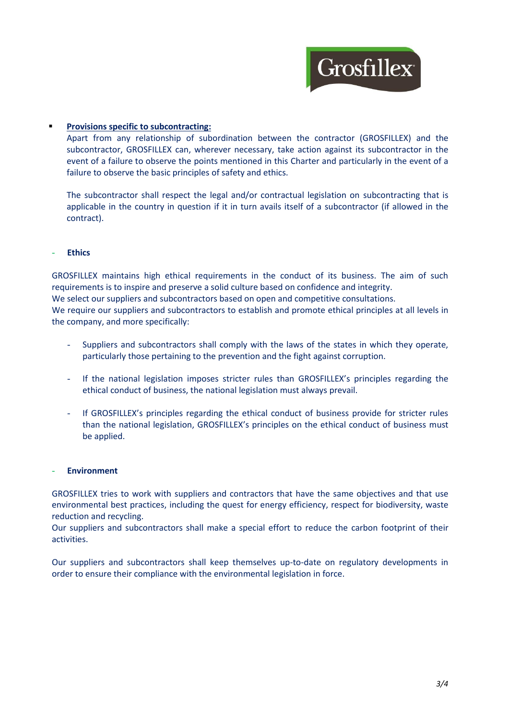

# **Provisions specific to subcontracting:**

Apart from any relationship of subordination between the contractor (GROSFILLEX) and the subcontractor, GROSFILLEX can, wherever necessary, take action against its subcontractor in the event of a failure to observe the points mentioned in this Charter and particularly in the event of a failure to observe the basic principles of safety and ethics.

The subcontractor shall respect the legal and/or contractual legislation on subcontracting that is applicable in the country in question if it in turn avails itself of a subcontractor (if allowed in the contract).

## - **Ethics**

GROSFILLEX maintains high ethical requirements in the conduct of its business. The aim of such requirements is to inspire and preserve a solid culture based on confidence and integrity.

We select our suppliers and subcontractors based on open and competitive consultations.

We require our suppliers and subcontractors to establish and promote ethical principles at all levels in the company, and more specifically:

- Suppliers and subcontractors shall comply with the laws of the states in which they operate, particularly those pertaining to the prevention and the fight against corruption.
- If the national legislation imposes stricter rules than GROSFILLEX's principles regarding the ethical conduct of business, the national legislation must always prevail.
- If GROSFILLEX's principles regarding the ethical conduct of business provide for stricter rules than the national legislation, GROSFILLEX's principles on the ethical conduct of business must be applied.

#### - **Environment**

GROSFILLEX tries to work with suppliers and contractors that have the same objectives and that use environmental best practices, including the quest for energy efficiency, respect for biodiversity, waste reduction and recycling.

Our suppliers and subcontractors shall make a special effort to reduce the carbon footprint of their activities.

Our suppliers and subcontractors shall keep themselves up-to-date on regulatory developments in order to ensure their compliance with the environmental legislation in force.